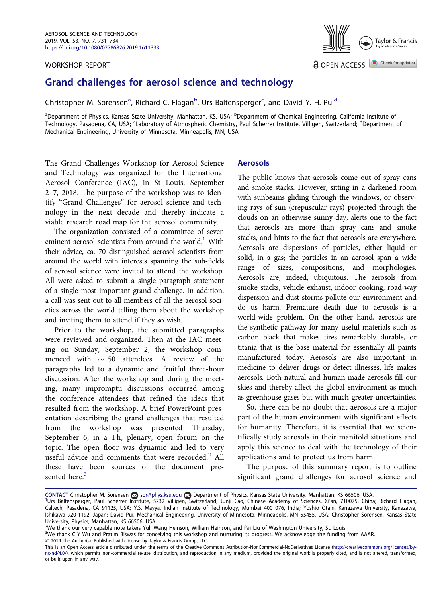#### WORKSHOP REPORT



Check for updates a OPEN ACCESS

# Grand challenges for aerosol science and technology

Christopher M. Sorensen<sup>a</sup>, Richard C. Flagan<sup>b</sup>, Urs Baltensperger<sup>c</sup>, and David Y. H. Pui<sup>d</sup>

<sup>a</sup>Department of Physics, Kansas State University, Manhattan, KS, USA; <sup>b</sup>Department of Chemical Engineering, California Institute of Technology, Pasadena, CA, USA; <sup>c</sup>Laboratory of Atmospheric Chemistry, Paul Scherrer Institute, Villigen, Switzerland; <sup>d</sup>Department of Mechanical Engineering, University of Minnesota, Minneapolis, MN, USA

The Grand Challenges Workshop for Aerosol Science and Technology was organized for the International Aerosol Conference (IAC), in St Louis, September 2–7, 2018. The purpose of the workshop was to identify "Grand Challenges" for aerosol science and technology in the next decade and thereby indicate a viable research road map for the aerosol community.

The organization consisted of a committee of seven eminent aerosol scientists from around the world.<sup>1</sup> With their advice, ca. 70 distinguished aerosol scientists from around the world with interests spanning the sub-fields of aerosol science were invited to attend the workshop. All were asked to submit a single paragraph statement of a single most important grand challenge. In addition, a call was sent out to all members of all the aerosol societies across the world telling them about the workshop and inviting them to attend if they so wish.

Prior to the workshop, the submitted paragraphs were reviewed and organized. Then at the IAC meeting on Sunday, September 2, the workshop commenced with  $\sim$ 150 attendees. A review of the paragraphs led to a dynamic and fruitful three-hour discussion. After the workshop and during the meeting, many impromptu discussions occurred among the conference attendees that refined the ideas that resulted from the workshop. A brief PowerPoint presentation describing the grand challenges that resulted from the workshop was presented Thursday, September 6, in a 1h, plenary, open forum on the topic. The open floor was dynamic and led to very useful advice and comments that were recorded. $<sup>2</sup>$  All</sup> these have been sources of the document presented here.<sup>3</sup>

### Aerosols

The public knows that aerosols come out of spray cans and smoke stacks. However, sitting in a darkened room with sunbeams gliding through the windows, or observing rays of sun (crepuscular rays) projected through the clouds on an otherwise sunny day, alerts one to the fact that aerosols are more than spray cans and smoke stacks, and hints to the fact that aerosols are everywhere. Aerosols are dispersions of particles, either liquid or solid, in a gas; the particles in an aerosol span a wide range of sizes, compositions, and morphologies. Aerosols are, indeed, ubiquitous. The aerosols from smoke stacks, vehicle exhaust, indoor cooking, road-way dispersion and dust storms pollute our environment and do us harm. Premature death due to aerosols is a world-wide problem. On the other hand, aerosols are the synthetic pathway for many useful materials such as carbon black that makes tires remarkably durable, or titania that is the base material for essentially all paints manufactured today. Aerosols are also important in medicine to deliver drugs or detect illnesses; life makes aerosols. Both natural and human-made aerosols fill our skies and thereby affect the global environment as much as greenhouse gases but with much greater uncertainties.

So, there can be no doubt that aerosols are a major part of the human environment with significant effects for humanity. Therefore, it is essential that we scientifically study aerosols in their manifold situations and apply this science to deal with the technology of their applications and to protect us from harm.

The purpose of this summary report is to outline significant grand challenges for aerosol science and

CONTACT Christopher M. Sorensen ⊗ sor@phys.ksu.edu ➡ Department of Physics, Kansas State University, Manhattan, KS 66506, USA.<br><sup>1</sup>Urs Baltensperger, Paul Scherrer Institute, 5232 Villigen, Switzerland; Junji Cao, Chinese Caltech, Pasadena, CA 91125, USA; Y.S. Mayya, Indian Institute of Technology, Mumbai 400 076, India; Yoshio Otani, Kanazawa University, Kanazawa, Ishikawa 920-1192, Japan; David Pui, Mechanical Engineering, University of Minnesota, Minneapolis, MN 55455, USA; Christopher Sorensen, Kansas State University, Physics, Manhattan, KS 66506, USA.

<sup>2</sup> We thank our very capable note takers Yuli Wang Heinson, William Heinson, and Pai Liu of Washington University, St. Louis.

<sup>3</sup> We thank C Y Wu and Pratim Biswas for conceiving this workshop and nurturing its progress. We acknowledge the funding from AAAR.

2019 The Author(s). Published with license by Taylor & Francis Group, LLC.

This is an Open Access article distributed under the terms of the Creative Commons Attribution-NonCommercial-NoDerivatives License (http://creativecommons.org/licenses/bync-nd/4.0/), which permits non-commercial re-use, distribution, and reproduction in any medium, provided the original work is properly cited, and is not altered, transformed, or built upon in any way.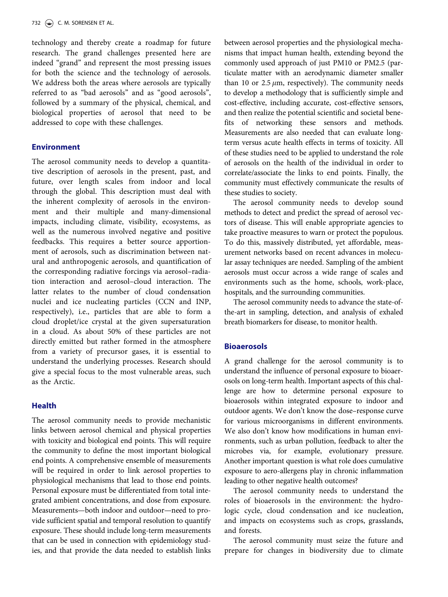technology and thereby create a roadmap for future research. The grand challenges presented here are indeed "grand" and represent the most pressing issues for both the science and the technology of aerosols. We address both the areas where aerosols are typically referred to as "bad aerosols" and as "good aerosols", followed by a summary of the physical, chemical, and biological properties of aerosol that need to be addressed to cope with these challenges.

#### Environment

The aerosol community needs to develop a quantitative description of aerosols in the present, past, and future, over length scales from indoor and local through the global. This description must deal with the inherent complexity of aerosols in the environment and their multiple and many-dimensional impacts, including climate, visibility, ecosystems, as well as the numerous involved negative and positive feedbacks. This requires a better source apportionment of aerosols, such as discrimination between natural and anthropogenic aerosols, and quantification of the corresponding radiative forcings via aerosol–radiation interaction and aerosol–cloud interaction. The latter relates to the number of cloud condensation nuclei and ice nucleating particles (CCN and INP, respectively), i.e., particles that are able to form a cloud droplet/ice crystal at the given supersaturation in a cloud. As about 50% of these particles are not directly emitted but rather formed in the atmosphere from a variety of precursor gases, it is essential to understand the underlying processes. Research should give a special focus to the most vulnerable areas, such as the Arctic.

## Health

The aerosol community needs to provide mechanistic links between aerosol chemical and physical properties with toxicity and biological end points. This will require the community to define the most important biological end points. A comprehensive ensemble of measurements will be required in order to link aerosol properties to physiological mechanisms that lead to those end points. Personal exposure must be differentiated from total integrated ambient concentrations, and dose from exposure. Measurements—both indoor and outdoor—need to provide sufficient spatial and temporal resolution to quantify exposure. These should include long-term measurements that can be used in connection with epidemiology studies, and that provide the data needed to establish links

between aerosol properties and the physiological mechanisms that impact human health, extending beyond the commonly used approach of just PM10 or PM2.5 (particulate matter with an aerodynamic diameter smaller than 10 or  $2.5 \mu m$ , respectively). The community needs to develop a methodology that is sufficiently simple and cost-effective, including accurate, cost-effective sensors, and then realize the potential scientific and societal benefits of networking these sensors and methods. Measurements are also needed that can evaluate longterm versus acute health effects in terms of toxicity. All of these studies need to be applied to understand the role of aerosols on the health of the individual in order to correlate/associate the links to end points. Finally, the community must effectively communicate the results of these studies to society.

The aerosol community needs to develop sound methods to detect and predict the spread of aerosol vectors of disease. This will enable appropriate agencies to take proactive measures to warn or protect the populous. To do this, massively distributed, yet affordable, measurement networks based on recent advances in molecular assay techniques are needed. Sampling of the ambient aerosols must occur across a wide range of scales and environments such as the home, schools, work-place, hospitals, and the surrounding communities.

The aerosol community needs to advance the state-ofthe-art in sampling, detection, and analysis of exhaled breath biomarkers for disease, to monitor health.

### **Bioaerosols**

A grand challenge for the aerosol community is to understand the influence of personal exposure to bioaerosols on long-term health. Important aspects of this challenge are how to determine personal exposure to bioaerosols within integrated exposure to indoor and outdoor agents. We don't know the dose–response curve for various microorganisms in different environments. We also don't know how modifications in human environments, such as urban pollution, feedback to alter the microbes via, for example, evolutionary pressure. Another important question is what role does cumulative exposure to aero-allergens play in chronic inflammation leading to other negative health outcomes?

The aerosol community needs to understand the roles of bioaerosols in the environment: the hydrologic cycle, cloud condensation and ice nucleation, and impacts on ecosystems such as crops, grasslands, and forests.

The aerosol community must seize the future and prepare for changes in biodiversity due to climate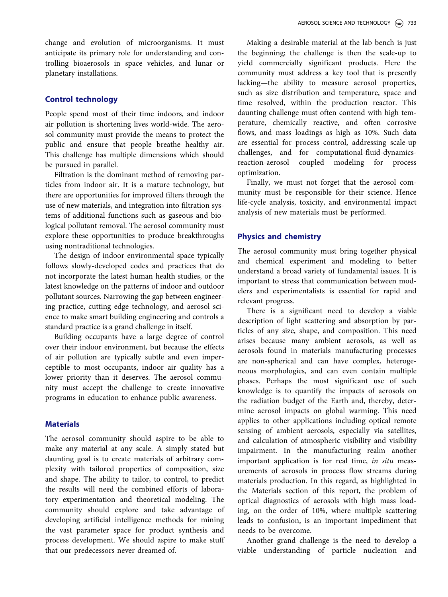change and evolution of microorganisms. It must anticipate its primary role for understanding and controlling bioaerosols in space vehicles, and lunar or planetary installations.

## Control technology

People spend most of their time indoors, and indoor air pollution is shortening lives world-wide. The aerosol community must provide the means to protect the public and ensure that people breathe healthy air. This challenge has multiple dimensions which should be pursued in parallel.

Filtration is the dominant method of removing particles from indoor air. It is a mature technology, but there are opportunities for improved filters through the use of new materials, and integration into filtration systems of additional functions such as gaseous and biological pollutant removal. The aerosol community must explore these opportunities to produce breakthroughs using nontraditional technologies.

The design of indoor environmental space typically follows slowly-developed codes and practices that do not incorporate the latest human health studies, or the latest knowledge on the patterns of indoor and outdoor pollutant sources. Narrowing the gap between engineering practice, cutting edge technology, and aerosol science to make smart building engineering and controls a standard practice is a grand challenge in itself.

Building occupants have a large degree of control over their indoor environment, but because the effects of air pollution are typically subtle and even imperceptible to most occupants, indoor air quality has a lower priority than it deserves. The aerosol community must accept the challenge to create innovative programs in education to enhance public awareness.

## **Materials**

The aerosol community should aspire to be able to make any material at any scale. A simply stated but daunting goal is to create materials of arbitrary complexity with tailored properties of composition, size and shape. The ability to tailor, to control, to predict the results will need the combined efforts of laboratory experimentation and theoretical modeling. The community should explore and take advantage of developing artificial intelligence methods for mining the vast parameter space for product synthesis and process development. We should aspire to make stuff that our predecessors never dreamed of.

Making a desirable material at the lab bench is just the beginning; the challenge is then the scale-up to yield commercially significant products. Here the community must address a key tool that is presently lacking—the ability to measure aerosol properties, such as size distribution and temperature, space and time resolved, within the production reactor. This daunting challenge must often contend with high temperature, chemically reactive, and often corrosive flows, and mass loadings as high as 10%. Such data are essential for process control, addressing scale-up challenges, and for computational-fluid-dynamicsreaction-aerosol coupled modeling for process optimization.

Finally, we must not forget that the aerosol community must be responsible for their science. Hence life-cycle analysis, toxicity, and environmental impact analysis of new materials must be performed.

## Physics and chemistry

The aerosol community must bring together physical and chemical experiment and modeling to better understand a broad variety of fundamental issues. It is important to stress that communication between modelers and experimentalists is essential for rapid and relevant progress.

There is a significant need to develop a viable description of light scattering and absorption by particles of any size, shape, and composition. This need arises because many ambient aerosols, as well as aerosols found in materials manufacturing processes are non-spherical and can have complex, heterogeneous morphologies, and can even contain multiple phases. Perhaps the most significant use of such knowledge is to quantify the impacts of aerosols on the radiation budget of the Earth and, thereby, determine aerosol impacts on global warming. This need applies to other applications including optical remote sensing of ambient aerosols, especially via satellites, and calculation of atmospheric visibility and visibility impairment. In the manufacturing realm another important application is for real time, in situ measurements of aerosols in process flow streams during materials production. In this regard, as highlighted in the Materials section of this report, the problem of optical diagnostics of aerosols with high mass loading, on the order of 10%, where multiple scattering leads to confusion, is an important impediment that needs to be overcome.

Another grand challenge is the need to develop a viable understanding of particle nucleation and